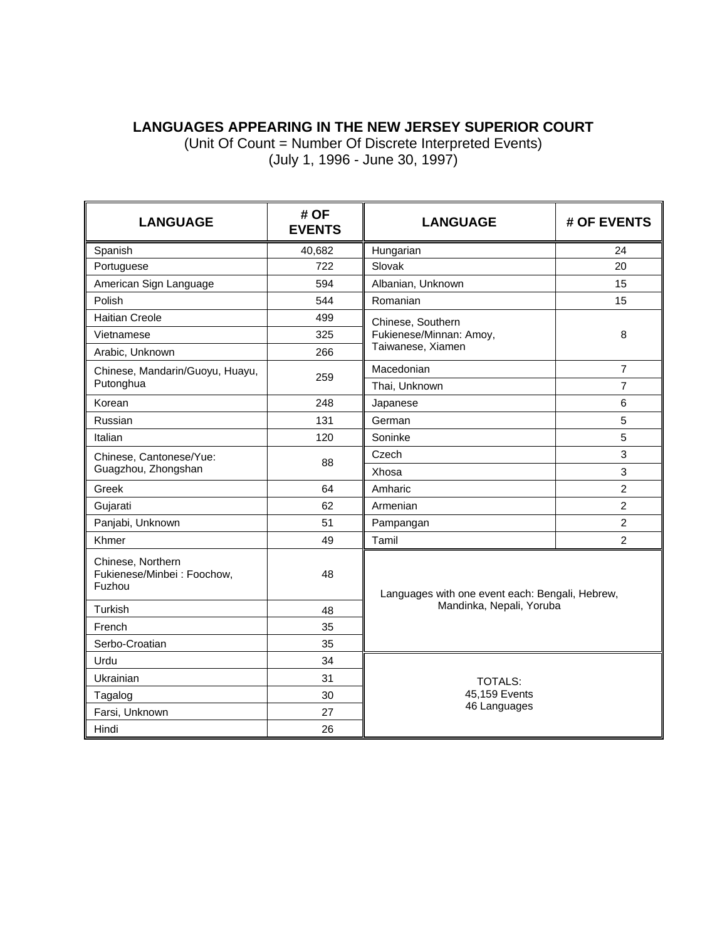## **LANGUAGES APPEARING IN THE NEW JERSEY SUPERIOR COURT**

(Unit Of Count = Number Of Discrete Interpreted Events) (July 1, 1996 - June 30, 1997)

| <b>LANGUAGE</b>                                           | # OF<br><b>EVENTS</b> | <b>LANGUAGE</b>                                 | # OF EVENTS    |  |  |  |  |
|-----------------------------------------------------------|-----------------------|-------------------------------------------------|----------------|--|--|--|--|
| Spanish                                                   | 40,682                | Hungarian                                       | 24             |  |  |  |  |
| Portuguese                                                | 722                   | Slovak                                          | 20             |  |  |  |  |
| American Sign Language                                    | 594                   | Albanian, Unknown                               | 15             |  |  |  |  |
| Polish                                                    | 544                   | Romanian                                        | 15             |  |  |  |  |
| <b>Haitian Creole</b>                                     | 499                   | Chinese, Southern                               |                |  |  |  |  |
| Vietnamese                                                | 325                   | Fukienese/Minnan: Amoy,                         | 8              |  |  |  |  |
| Arabic, Unknown                                           | 266                   | Taiwanese, Xiamen                               |                |  |  |  |  |
| Chinese, Mandarin/Guoyu, Huayu,                           | 259                   | Macedonian                                      | $\overline{7}$ |  |  |  |  |
| Putonghua                                                 |                       | Thai, Unknown                                   | $\overline{7}$ |  |  |  |  |
| Korean                                                    | 248                   | Japanese                                        | 6              |  |  |  |  |
| Russian                                                   | 131                   | German                                          | 5              |  |  |  |  |
| Italian                                                   | 120                   | Soninke                                         | 5              |  |  |  |  |
| Chinese, Cantonese/Yue:                                   | 88                    | Czech                                           | 3              |  |  |  |  |
| Guagzhou, Zhongshan                                       |                       | Xhosa                                           | 3              |  |  |  |  |
| Greek                                                     | 64                    | Amharic                                         | $\overline{2}$ |  |  |  |  |
| Gujarati                                                  | 62                    | Armenian                                        | $\overline{2}$ |  |  |  |  |
| Panjabi, Unknown                                          | 51                    | Pampangan                                       | $\overline{c}$ |  |  |  |  |
| Khmer                                                     | 49                    | Tamil                                           | $\overline{2}$ |  |  |  |  |
| Chinese, Northern<br>Fukienese/Minbei: Foochow,<br>Fuzhou | 48                    | Languages with one event each: Bengali, Hebrew, |                |  |  |  |  |
| Turkish                                                   | 48                    | Mandinka, Nepali, Yoruba                        |                |  |  |  |  |
| French                                                    | 35                    |                                                 |                |  |  |  |  |
| Serbo-Croatian                                            | 35                    |                                                 |                |  |  |  |  |
| Urdu                                                      | 34                    |                                                 |                |  |  |  |  |
| Ukrainian                                                 | 31                    | <b>TOTALS:</b>                                  |                |  |  |  |  |
| Tagalog                                                   | 30                    | 45,159 Events                                   |                |  |  |  |  |
| Farsi, Unknown                                            | 27                    | 46 Languages                                    |                |  |  |  |  |
| Hindi                                                     | 26                    |                                                 |                |  |  |  |  |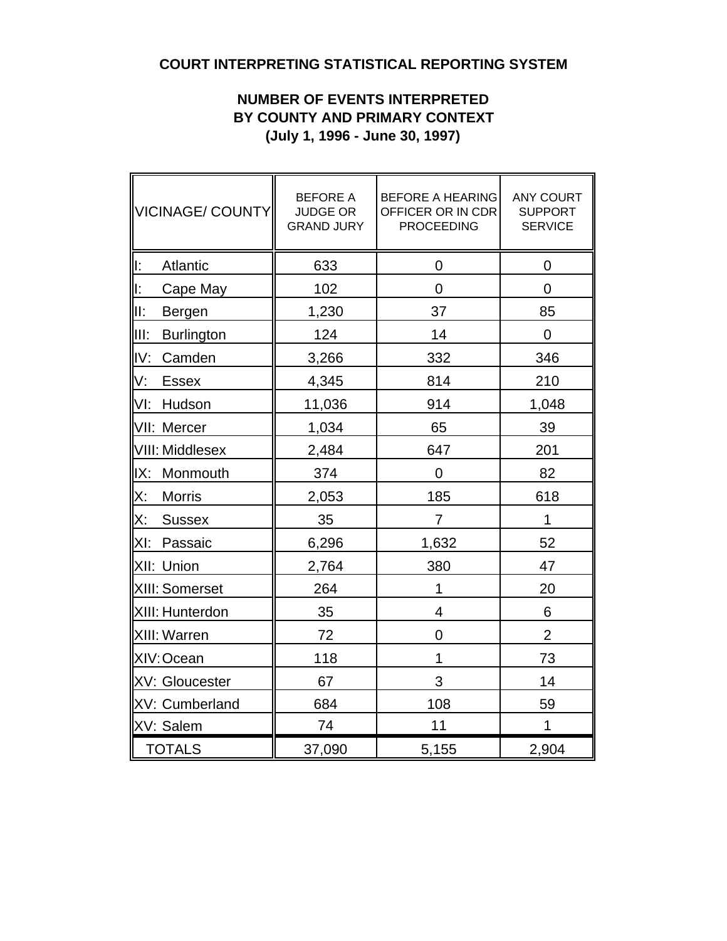# **COURT INTERPRETING STATISTICAL REPORTING SYSTEM**

## **NUMBER OF EVENTS INTERPRETED BY COUNTY AND PRIMARY CONTEXT (July 1, 1996 - June 30, 1997)**

| VICINAGE/ COUNTY          | <b>BEFORE A</b><br><b>JUDGE OR</b><br><b>GRAND JURY</b> | <b>BEFORE A HEARING</b><br>OFFICER OR IN CDR<br><b>PROCEEDING</b> | <b>ANY COURT</b><br><b>SUPPORT</b><br><b>SERVICE</b> |  |  |  |
|---------------------------|---------------------------------------------------------|-------------------------------------------------------------------|------------------------------------------------------|--|--|--|
| ll:<br>Atlantic           | 633                                                     | 0                                                                 | 0                                                    |  |  |  |
| ll:<br>Cape May           | 102                                                     | $\overline{0}$                                                    | $\overline{0}$                                       |  |  |  |
| III:<br>Bergen            | 1,230                                                   | 37                                                                | 85                                                   |  |  |  |
| lii:<br><b>Burlington</b> | 124                                                     | 14                                                                | $\overline{0}$                                       |  |  |  |
| IV:<br>Camden             | 3,266                                                   | 332                                                               | 346                                                  |  |  |  |
| IV:<br><b>Essex</b>       | 4,345                                                   | 814                                                               | 210                                                  |  |  |  |
| VI:<br>Hudson             | 11,036                                                  | 914                                                               | 1,048                                                |  |  |  |
| VII: Mercer               | 1,034                                                   | 65                                                                | 39                                                   |  |  |  |
| <b>VIII: Middlesex</b>    | 2,484                                                   | 647                                                               | 201                                                  |  |  |  |
| X:<br>Monmouth            | 374                                                     | $\overline{0}$                                                    | 82                                                   |  |  |  |
| X:<br><b>Morris</b>       | 2,053                                                   | 185                                                               | 618                                                  |  |  |  |
| X:<br><b>Sussex</b>       | 35                                                      | 7                                                                 | 1                                                    |  |  |  |
| XI:<br>Passaic            | 6,296                                                   | 1,632                                                             | 52                                                   |  |  |  |
| XII: Union                | 2,764                                                   | 380                                                               | 47                                                   |  |  |  |
| XIII: Somerset            | 264                                                     | 1                                                                 | 20                                                   |  |  |  |
| XIII: Hunterdon           | 35                                                      | $\overline{\mathcal{A}}$                                          | 6                                                    |  |  |  |
| XIII: Warren              | 72                                                      | $\overline{0}$                                                    | $\overline{2}$                                       |  |  |  |
| XIV: Ocean                | 118                                                     | 1                                                                 | 73                                                   |  |  |  |
| XV: Gloucester            | 67                                                      | 3                                                                 | 14                                                   |  |  |  |
| XV: Cumberland            | 684                                                     | 108                                                               | 59                                                   |  |  |  |
| XV: Salem                 | 74                                                      | 11                                                                | $\mathbf{1}$                                         |  |  |  |
| <b>TOTALS</b>             | 37,090                                                  | 5,155                                                             | 2,904                                                |  |  |  |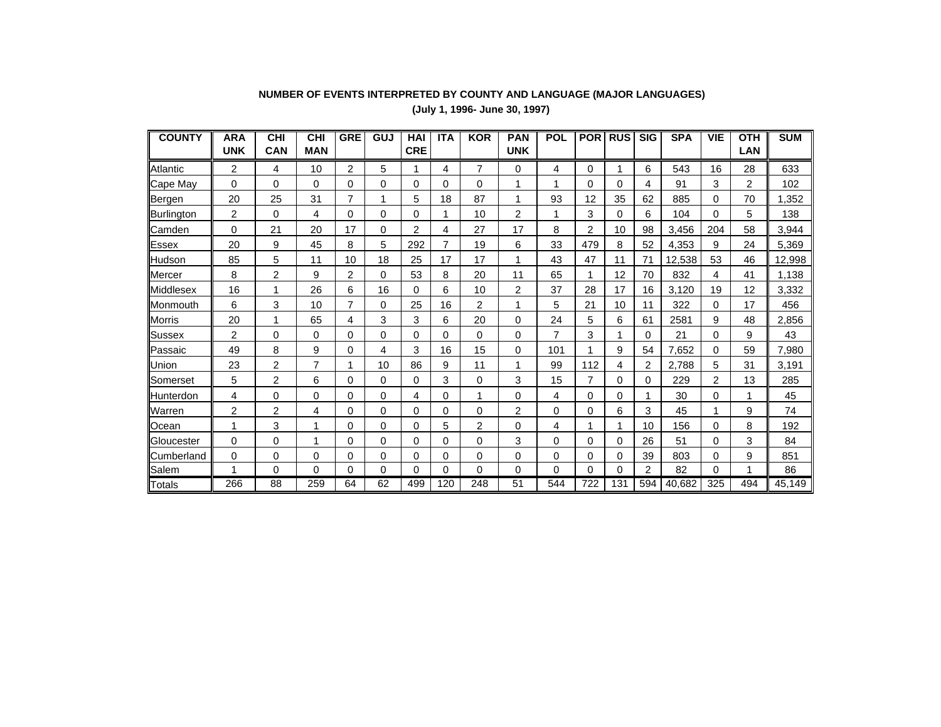| <b>COUNTY</b>    | ARA            | <b>CHI</b>  | <b>CHI</b> | <b>GRE</b>     | GUJ      | <b>HAI</b> | <b>ITA</b> | <b>KOR</b>     | <b>PAN</b>     | <b>POL</b> | <b>POR</b>       | <b>RUS</b> | <b>SIG</b>     | <b>SPA</b> | <b>VIE</b> | <b>OTH</b> | <b>SUM</b> |
|------------------|----------------|-------------|------------|----------------|----------|------------|------------|----------------|----------------|------------|------------------|------------|----------------|------------|------------|------------|------------|
|                  | <b>UNK</b>     | CAN         | <b>MAN</b> |                |          | <b>CRE</b> |            |                | <b>UNK</b>     |            |                  |            |                |            |            | <b>LAN</b> |            |
| Atlantic         | $\overline{2}$ | 4           | 10         | 2              | 5        | 1          | 4          | $\overline{7}$ | $\Omega$       | 4          | $\Omega$         | 1          | 6              | 543        | 16         | 28         | 633        |
| Cape May         | $\Omega$       | 0           | $\Omega$   | 0              | 0        | 0          | 0          | $\Omega$       | 1              | 1          | $\Omega$         | 0          | 4              | 91         | 3          | 2          | 102        |
| Bergen           | 20             | 25          | 31         | $\overline{7}$ | 1        | 5          | 18         | 87             | 1              | 93         | 12               | 35         | 62             | 885        | 0          | 70         | 1,352      |
| Burlington       | 2              | 0           | 4          | 0              | 0        | 0          |            | 10             | 2              |            | 3                | 0          | 6              | 104        | 0          | 5          | 138        |
| Camden           | $\mathbf 0$    | 21          | 20         | 17             | 0        | 2          | 4          | 27             | 17             | 8          | $\overline{2}$   | 10         | 98             | 3,456      | 204        | 58         | 3,944      |
| <b>Essex</b>     | 20             | 9           | 45         | 8              | 5        | 292        | 7          | 19             | 6              | 33         | 479              | 8          | 52             | 4,353      | 9          | 24         | 5,369      |
| Hudson           | 85             | 5           | 11         | 10             | 18       | 25         | 17         | 17             | 1              | 43         | 47               | 11         | 71             | 12,538     | 53         | 46         | 12,998     |
| Mercer           | 8              | 2           | 9          | $\overline{2}$ | $\Omega$ | 53         | 8          | 20             | 11             | 65         |                  | 12         | 70             | 832        | 4          | 41         | 1,138      |
| <b>Middlesex</b> | 16             | 1           | 26         | 6              | 16       | 0          | 6          | 10             | $\overline{2}$ | 37         | 28               | 17         | 16             | 3,120      | 19         | 12         | 3,332      |
| Monmouth         | 6              | 3           | 10         | $\overline{7}$ | 0        | 25         | 16         | $\overline{2}$ | 1              | 5          | 21               | 10         | 11             | 322        | 0          | 17         | 456        |
| <b>Morris</b>    | 20             | 1           | 65         | 4              | 3        | 3          | 6          | 20             | $\Omega$       | 24         | 5                | 6          | 61             | 2581       | 9          | 48         | 2,856      |
| <b>Sussex</b>    | $\overline{2}$ | 0           | $\Omega$   | 0              | 0        | 0          | 0          | $\Omega$       | 0              | 7          | 3                | 1          | 0              | 21         | 0          | 9          | 43         |
| Passaic          | 49             | 8           | 9          | 0              | 4        | 3          | 16         | 15             | $\Omega$       | 101        |                  | 9          | 54             | 7,652      | 0          | 59         | 7.980      |
| Union            | 23             | 2           | 7          |                | 10       | 86         | 9          | 11             | 1              | 99         | 112              | 4          | $\overline{2}$ | 2,788      | 5          | 31         | 3,191      |
| Somerset         | 5              | 2           | 6          | $\Omega$       | 0        | 0          | 3          | $\Omega$       | 3              | 15         | 7                | 0          | 0              | 229        | 2          | 13         | 285        |
| Hunterdon        | 4              | 0           | $\Omega$   | 0              | 0        | 4          | 0          | 1              | $\Omega$       | 4          | 0                | 0          | 1              | 30         | 0          | 1          | 45         |
| Warren           | $\overline{2}$ | 2           | 4          | 0              | 0        | 0          | 0          | 0              | 2              | 0          | 0                | 6          | 3              | 45         |            | 9          | 74         |
| Ocean            | 1              | 3           | 1          | 0              | 0        | 0          | 5          | $\overline{2}$ | 0              | 4          |                  | 1          | 10             | 156        | 0          | 8          | 192        |
| Gloucester       | $\Omega$       | 0           | 1          | $\Omega$       | 0        | 0          | 0          | $\Omega$       | 3              | 0          | $\Omega$         | 0          | 26             | 51         | 0          | 3          | 84         |
| Cumberland       | 0              | $\mathbf 0$ | $\Omega$   | $\Omega$       | 0        | 0          | 0          | $\Omega$       | $\Omega$       | 0          | $\Omega$         | 0          | 39             | 803        | 0          | 9          | 851        |
| Salem            | 1              | $\Omega$    | $\Omega$   | $\Omega$       | $\Omega$ | 0          | $\Omega$   | $\Omega$       | $\Omega$       | $\Omega$   | $\Omega$         | 0          | $\overline{2}$ | 82         | 0          | 1          | 86         |
| <b>Totals</b>    | 266            | 88          | 259        | 64             | 62       | 499        | 120        | 248            | 51             | 544        | $\overline{722}$ | 131        | 594            | 40.682     | 325        | 494        | 45,149     |

### **NUMBER OF EVENTS INTERPRETED BY COUNTY AND LANGUAGE (MAJOR LANGUAGES) (July 1, 1996- June 30, 1997)**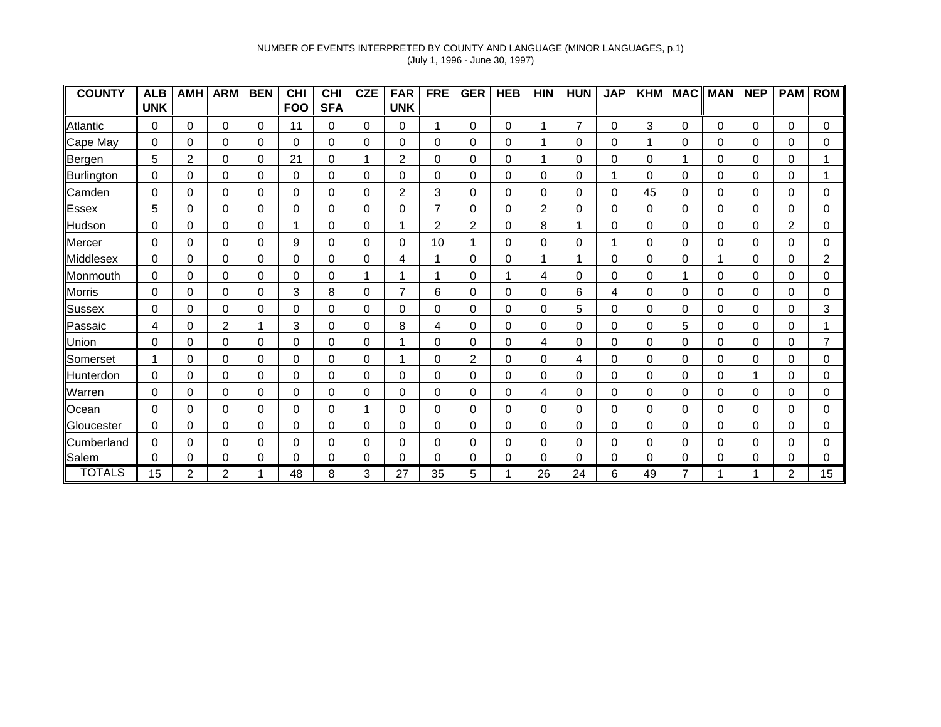#### NUMBER OF EVENTS INTERPRETED BY COUNTY AND LANGUAGE (MINOR LANGUAGES, p.1) (July 1, 1996 - June 30, 1997)

| <b>COUNTY</b> | <b>ALB</b> | <b>AMH</b>     | <b>ARM</b> | <b>BEN</b> | <b>CHI</b>  | <b>CHI</b> | <b>CZE</b>   | <b>FAR</b> | <b>FRE</b> | <b>GER</b>     | <b>HEB</b> | <b>HIN</b>     | <b>HUN</b>     | <b>JAP</b> | <b>KHM</b> | <b>MAC</b> | <b>MAN</b> | <b>NEP</b> | <b>PAM</b> | <b>ROM</b>     |
|---------------|------------|----------------|------------|------------|-------------|------------|--------------|------------|------------|----------------|------------|----------------|----------------|------------|------------|------------|------------|------------|------------|----------------|
|               | <b>UNK</b> |                |            |            | <b>FOO</b>  | <b>SFA</b> |              | <b>UNK</b> |            |                |            |                |                |            |            |            |            |            |            |                |
| Atlantic      | 0          | 0              | $\Omega$   | 0          | 11          | 0          | $\mathbf{0}$ | 0          |            | 0              | 0          |                | $\overline{7}$ | $\Omega$   | 3          | $\Omega$   | $\Omega$   | 0          | $\Omega$   | $\Omega$       |
| Cape May      | 0          | 0              | 0          | 0          | $\mathbf 0$ | 0          | 0            | 0          | 0          | 0              | 0          |                | 0              | $\Omega$   |            | 0          | $\Omega$   | 0          | $\Omega$   | 0              |
| Bergen        | 5          | $\overline{2}$ | $\Omega$   | 0          | 21          | $\Omega$   |              | 2          | 0          | $\Omega$       | 0          |                | 0              | $\Omega$   | 0          |            | $\Omega$   | 0          | $\Omega$   |                |
| Burlington    | 0          | 0              | 0          | 0          | 0           | 0          | 0            | 0          | 0          | 0              | 0          | 0              | 0              | 1          | 0          | 0          | 0          | 0          | 0          |                |
| Camden        | 0          | 0              | 0          | 0          | 0           | 0          | 0            | 2          | 3          | 0              | 0          | 0              | 0              | 0          | 45         | 0          | 0          | 0          | 0          | 0              |
| Essex         | 5          | 0              | 0          | 0          | 0           | 0          | 0            | 0          |            | 0              | 0          | $\overline{2}$ | 0              | 0          | 0          | 0          | $\Omega$   | 0          | 0          | 0              |
| Hudson        | 0          | 0              | 0          | 0          | 1           | 0          | 0            |            | 2          | 2              | 0          | 8              |                | 0          | 0          | 0          | 0          | 0          | 2          | 0              |
| Mercer        | 0          | 0              | 0          | 0          | 9           | 0          | 0            | 0          | 10         |                | $\Omega$   | 0              | 0              |            | 0          | 0          | $\Omega$   | 0          | 0          | 0              |
| Middlesex     | 0          | 0              | 0          | 0          | 0           | 0          | 0            | 4          |            | 0              | 0          |                |                | $\Omega$   | 0          | 0          |            | 0          | 0          | $\overline{2}$ |
| Monmouth      | $\Omega$   | 0              | $\Omega$   | 0          | 0           | 0          |              |            |            | 0              | 1          | 4              | 0              | $\Omega$   | 0          |            | $\Omega$   | 0          | $\Omega$   | 0              |
| <b>Morris</b> | 0          | 0              | 0          | 0          | 3           | 8          | 0            | 7          | 6          | 0              | 0          | 0              | 6              | 4          | 0          | 0          | 0          | 0          | 0          | 0              |
| Sussex        | $\Omega$   | 0              | 0          | 0          | 0           | 0          | 0            | 0          | 0          | 0              | 0          | 0              | 5              | 0          | 0          | 0          | $\Omega$   | 0          | 0          | 3              |
| Passaic       | 4          | 0              | 2          |            | 3           | 0          | 0            | 8          | 4          | 0              | 0          | 0              | 0              | 0          | 0          | 5          | 0          | 0          | 0          |                |
| Union         | 0          | 0              | 0          | 0          | 0           | 0          | 0            |            | 0          | 0              | 0          | 4              | 0              | 0          | 0          | 0          | 0          | 0          | 0          | $\overline{7}$ |
| Somerset      |            | 0              | 0          | 0          | 0           | 0          | 0            |            | 0          | $\overline{2}$ | 0          | 0              | 4              | 0          | 0          | 0          | $\Omega$   | 0          | 0          | 0              |
| Hunterdon     | 0          | 0              | 0          | 0          | 0           | 0          | 0            | 0          | $\Omega$   | 0              | 0          | 0              | 0              | 0          | 0          | 0          | 0          |            | 0          | 0              |
| Warren        | 0          | 0              | 0          | 0          | 0           | 0          | 0            | 0          | 0          | 0              | 0          | 4              | 0              | 0          | 0          | 0          | 0          | 0          | 0          | 0              |
| Ocean         | 0          | 0              | 0          | 0          | 0           | 0          |              | 0          | 0          | 0              | 0          | 0              | 0              | 0          | 0          | 0          | 0          | 0          | 0          | 0              |
| Gloucester    | $\Omega$   | 0              | 0          | 0          | 0           | 0          | 0            | 0          | 0          | 0              | 0          | 0              | 0              | 0          | 0          | 0          | $\Omega$   | 0          | 0          | 0              |
| Cumberland    | $\Omega$   | 0              | 0          | 0          | 0           | 0          | 0            | 0          | 0          | 0              | 0          | 0              | 0              | 0          | 0          | 0          | 0          | 0          | 0          | 0              |
| Salem         | 0          | 0              | 0          | 0          | 0           | 0          | 0            | 0          | 0          | 0              | 0          | 0              | 0              | 0          | 0          | 0          | 0          | 0          | 0          | 0              |
| <b>TOTALS</b> | 15         | 2              | 2          |            | 48          | 8          | 3            | 27         | 35         | 5              |            | 26             | 24             | 6          | 49         |            |            |            | 2          | 15             |